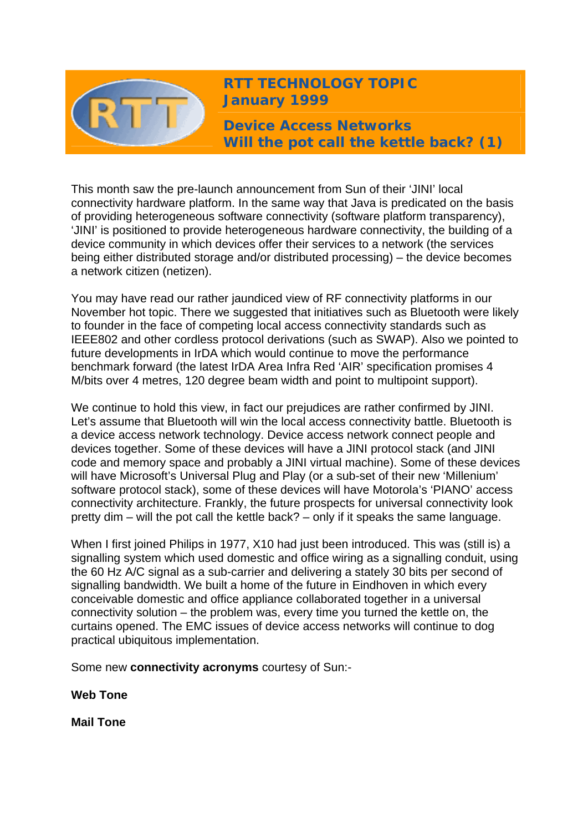

**RTT TECHNOLOGY TOPIC January 1999** 

**Device Access Networks Will the pot call the kettle back? (1)** 

This month saw the pre-launch announcement from Sun of their 'JINI' local connectivity hardware platform. In the same way that Java is predicated on the basis of providing heterogeneous software connectivity (software platform transparency), 'JINI' is positioned to provide heterogeneous hardware connectivity, the building of a device community in which devices offer their services to a network (the services being either distributed storage and/or distributed processing) – the device becomes a network citizen (netizen).

You may have read our rather jaundiced view of RF connectivity platforms in our November hot topic. There we suggested that initiatives such as Bluetooth were likely to founder in the face of competing local access connectivity standards such as IEEE802 and other cordless protocol derivations (such as SWAP). Also we pointed to future developments in IrDA which would continue to move the performance benchmark forward (the latest IrDA Area Infra Red 'AIR' specification promises 4 M/bits over 4 metres, 120 degree beam width and point to multipoint support).

We continue to hold this view, in fact our prejudices are rather confirmed by JINI. Let's assume that Bluetooth will win the local access connectivity battle. Bluetooth is a device access network technology. Device access network connect people and devices together. Some of these devices will have a JINI protocol stack (and JINI code and memory space and probably a JINI virtual machine). Some of these devices will have Microsoft's Universal Plug and Play (or a sub-set of their new 'Millenium' software protocol stack), some of these devices will have Motorola's 'PIANO' access connectivity architecture. Frankly, the future prospects for universal connectivity look pretty dim – will the pot call the kettle back? – only if it speaks the same language.

When I first joined Philips in 1977, X10 had just been introduced. This was (still is) a signalling system which used domestic and office wiring as a signalling conduit, using the 60 Hz A/C signal as a sub-carrier and delivering a stately 30 bits per second of signalling bandwidth. We built a home of the future in Eindhoven in which every conceivable domestic and office appliance collaborated together in a universal connectivity solution – the problem was, every time you turned the kettle on, the curtains opened. The EMC issues of device access networks will continue to dog practical ubiquitous implementation.

Some new **connectivity acronyms** courtesy of Sun:-

**Web Tone**

**Mail Tone**